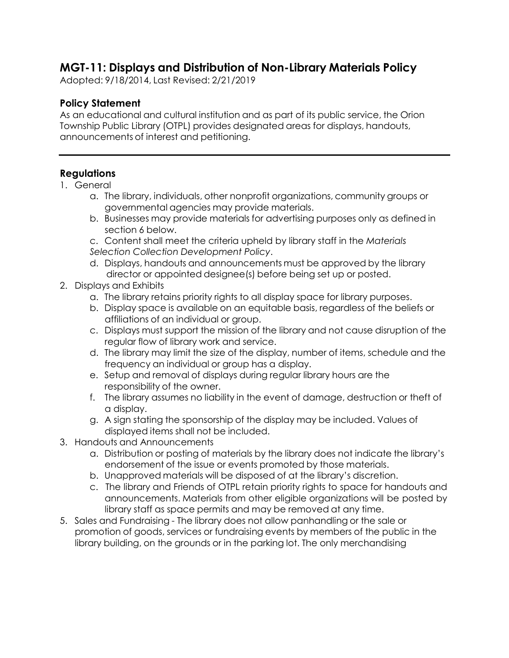## **MGT-11: Displays and Distribution of Non-Library Materials Policy**

Adopted: 9/18/2014, Last Revised: 2/21/2019

## **Policy Statement**

As an educational and cultural institution and as part of its public service, the Orion Township Public Library (OTPL) provides designated areas for displays, handouts, announcements of interest and petitioning.

## **Regulations**

- 1. General
	- a. The library, individuals, other nonprofit organizations, community groups or governmental agencies may provide materials.
	- b. Businesses may provide materials for advertising purposes only as defined in section 6 below.

c. Content shall meet the criteria upheld by library staff in the *Materials Selection Collection Development Policy*.

- d. Displays, handouts and announcements must be approved by the library director or appointed designee(s) before being set up or posted.
- 2. Displays and Exhibits
	- a. The library retains priority rights to all display space for library purposes.
	- b. Display space is available on an equitable basis, regardless of the beliefs or affiliations of an individual or group.
	- c. Displays must support the mission of the library and not cause disruption of the regular flow of library work and service.
	- d. The library may limit the size of the display, number of items, schedule and the frequency an individual or group has a display.
	- e. Setup and removal of displays during regular library hours are the responsibility of the owner.
	- f. The library assumes no liability in the event of damage, destruction or theft of a display.
	- g. A sign stating the sponsorship of the display may be included. Values of displayed items shall not be included.
- 3. Handouts and Announcements
	- a. Distribution or posting of materials by the library does not indicate the library's endorsement of the issue or events promoted by those materials.
	- b. Unapproved materials will be disposed of at the library's discretion.
	- c. The library and Friends of OTPL retain priority rights to space for handouts and announcements. Materials from other eligible organizations will be posted by library staff as space permits and may be removed at any time.
- 5. Sales and Fundraising The library does not allow panhandling or the sale or promotion of goods, services or fundraising events by members of the public in the library building, on the grounds or in the parking lot. The only merchandising